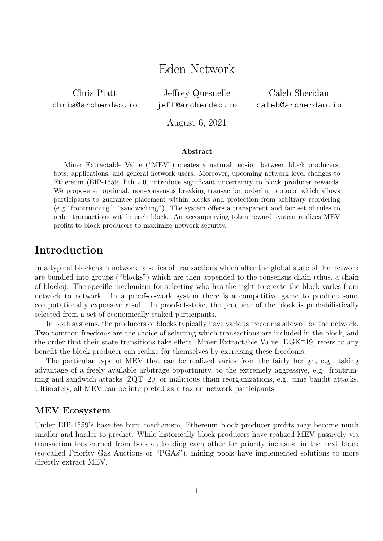# Eden Network

Chris Piatt chris@archerdao.io

Jeffrey Quesnelle jeff@archerdao.io

Caleb Sheridan caleb@archerdao.io

August 6, 2021

#### Abstract

Miner Extractable Value ("MEV") creates a natural tension between block producers, bots, applications, and general network users. Moreover, upcoming network level changes to Ethereum (EIP-1559, Eth 2.0) introduce significant uncertainty to block producer rewards. We propose an optional, non-consensus breaking transaction ordering protocol which allows participants to guarantee placement within blocks and protection from arbitrary reordering (e.g "frontrunning", "sandwiching"). The system offers a transparent and fair set of rules to order transactions within each block. An accompanying token reward system realizes MEV profits to block producers to maximize network security.

## Introduction

In a typical blockchain network, a series of transactions which alter the global state of the network are bundled into groups ("blocks") which are then appended to the consensus chain (thus, a chain of blocks). The specific mechanism for selecting who has the right to create the block varies from network to network. In a proof-of-work system there is a competitive game to produce some computationally expensive result. In proof-of-stake, the producer of the block is probabilistically selected from a set of economically staked participants.

In both systems, the producers of blocks typically have various freedoms allowed by the network. Two common freedoms are the choice of selecting which transactions are included in the block, and the order that their state transitions take effect. Miner Extractable Value [DGK<sup>+</sup>19] refers to any benefit the block producer can realize for themselves by exercising these freedoms.

The particular type of MEV that can be realized varies from the fairly benign, e.g. taking advantage of a freely available arbitrage opportunity, to the extremely aggressive, e.g. frontrunning and sandwich attacks [ZQT<sup>+</sup>20] or malicious chain reorganizations, e.g. time bandit attacks. Ultimately, all MEV can be interpreted as a tax on network participants.

#### MEV Ecosystem

Under EIP-1559's base fee burn mechanism, Ethereum block producer profits may become much smaller and harder to predict. While historically block producers have realized MEV passively via transaction fees earned from bots outbidding each other for priority inclusion in the next block (so-called Priority Gas Auctions or "PGAs"), mining pools have implemented solutions to more directly extract MEV.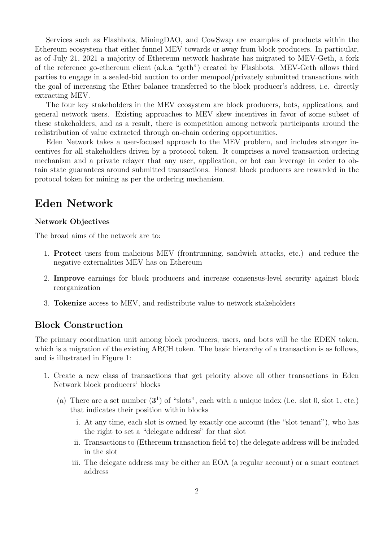Services such as Flashbots, MiningDAO, and CowSwap are examples of products within the Ethereum ecosystem that either funnel MEV towards or away from block producers. In particular, as of July 21, 2021 a majority of Ethereum network hashrate has migrated to MEV-Geth, a fork of the reference go-ethereum client (a.k.a "geth") created by Flashbots. MEV-Geth allows third parties to engage in a sealed-bid auction to order mempool/privately submitted transactions with the goal of increasing the Ether balance transferred to the block producer's address, i.e. directly extracting MEV.

The four key stakeholders in the MEV ecosystem are block producers, bots, applications, and general network users. Existing approaches to MEV skew incentives in favor of some subset of these stakeholders, and as a result, there is competition among network participants around the redistribution of value extracted through on-chain ordering opportunities.

Eden Network takes a user-focused approach to the MEV problem, and includes stronger incentives for all stakeholders driven by a protocol token. It comprises a novel transaction ordering mechanism and a private relayer that any user, application, or bot can leverage in order to obtain state guarantees around submitted transactions. Honest block producers are rewarded in the protocol token for mining as per the ordering mechanism.

## Eden Network

#### Network Objectives

The broad aims of the network are to:

- 1. Protect users from malicious MEV (frontrunning, sandwich attacks, etc.) and reduce the negative externalities MEV has on Ethereum
- 2. Improve earnings for block producers and increase consensus-level security against block reorganization
- 3. Tokenize access to MEV, and redistribute value to network stakeholders

### Block Construction

The primary coordination unit among block producers, users, and bots will be the EDEN token, which is a migration of the existing ARCH token. The basic hierarchy of a transaction is as follows, and is illustrated in Figure 1:

- 1. Create a new class of transactions that get priority above all other transactions in Eden Network block producers' blocks
	- (a) There are a set number  $(3^1)$  of "slots", each with a unique index (i.e. slot 0, slot 1, etc.) that indicates their position within blocks
		- i. At any time, each slot is owned by exactly one account (the "slot tenant"), who has the right to set a "delegate address" for that slot
		- ii. Transactions to (Ethereum transaction field to) the delegate address will be included in the slot
		- iii. The delegate address may be either an EOA (a regular account) or a smart contract address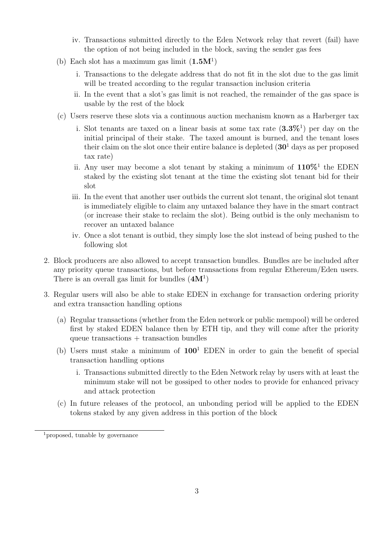- iv. Transactions submitted directly to the Eden Network relay that revert (fail) have the option of not being included in the block, saving the sender gas fees
- (b) Each slot has a maximum gas limit  $(1.5M<sup>1</sup>)$ 
	- i. Transactions to the delegate address that do not fit in the slot due to the gas limit will be treated according to the regular transaction inclusion criteria
	- ii. In the event that a slot's gas limit is not reached, the remainder of the gas space is usable by the rest of the block
- (c) Users reserve these slots via a continuous auction mechanism known as a Harberger tax
	- i. Slot tenants are taxed on a linear basis at some tax rate  $(3.3\%)$  per day on the initial principal of their stake. The taxed amount is burned, and the tenant loses their claim on the slot once their entire balance is depleted  $(30<sup>1</sup>$  days as per proposed tax rate)
	- ii. Any user may become a slot tenant by staking a minimum of  $110\%^1$  the EDEN staked by the existing slot tenant at the time the existing slot tenant bid for their slot
	- iii. In the event that another user outbids the current slot tenant, the original slot tenant is immediately eligible to claim any untaxed balance they have in the smart contract (or increase their stake to reclaim the slot). Being outbid is the only mechanism to recover an untaxed balance
	- iv. Once a slot tenant is outbid, they simply lose the slot instead of being pushed to the following slot
- 2. Block producers are also allowed to accept transaction bundles. Bundles are be included after any priority queue transactions, but before transactions from regular Ethereum/Eden users. There is an overall gas limit for bundles  $(4M<sup>1</sup>)$
- 3. Regular users will also be able to stake EDEN in exchange for transaction ordering priority and extra transaction handling options
	- (a) Regular transactions (whether from the Eden network or public mempool) will be ordered first by staked EDEN balance then by ETH tip, and they will come after the priority queue transactions + transaction bundles
	- (b) Users must stake a minimum of  $100^1$  EDEN in order to gain the benefit of special transaction handling options
		- i. Transactions submitted directly to the Eden Network relay by users with at least the minimum stake will not be gossiped to other nodes to provide for enhanced privacy and attack protection
	- (c) In future releases of the protocol, an unbonding period will be applied to the EDEN tokens staked by any given address in this portion of the block

<sup>&</sup>lt;sup>1</sup> proposed, tunable by governance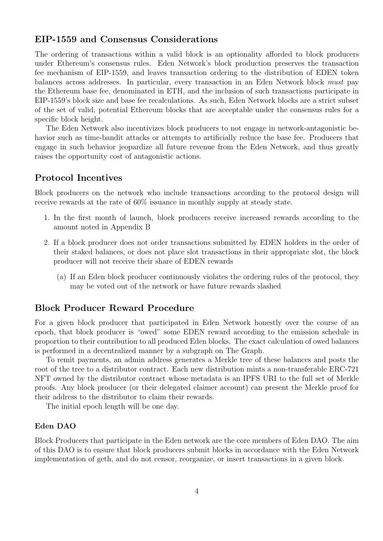#### EIP-1559 and Consensus Considerations

The ordering of transactions within a valid block is an optionality afforded to block producers under Ethereum's consensus rules. Eden Network's block production preserves the transaction fee mechanism of EIP-1559, and leaves transaction ordering to the distribution of EDEN token balances across addresses. In particular, every transaction in an Eden Network block must pay the Ethereum base fee, denominated in ETH, and the inclusion of such transactions participate in EIP-1559's block size and base fee recalculations. As such, Eden Network blocks are a strict subset of the set of valid, potential Ethereum blocks that are acceptable under the consensus rules for a specific block height.

The Eden Network also incentivizes block producers to not engage in network-antagonistic behavior such as time-bandit attacks or attempts to artificially reduce the base fee. Producers that engage in such behavior jeopardize all future revenue from the Eden Network, and thus greatly raises the opportunity cost of antagonistic actions.

#### Protocol Incentives

Block producers on the network who include transactions according to the protocol design will receive rewards at the rate of 60% issuance in monthly supply at steady state.

- 1. In the first month of launch, block producers receive increased rewards according to the amount noted in Appendix B
- 2. If a block producer does not order transactions submitted by EDEN holders in the order of their staked balances, or does not place slot transactions in their appropriate slot, the block producer will not receive their share of EDEN rewards
	- (a) If an Eden block producer continuously violates the ordering rules of the protocol, they may be voted out of the network or have future rewards slashed

### Block Producer Reward Procedure

For a given block producer that participated in Eden Network honestly over the course of an epoch, that block producer is "owed" some EDEN reward according to the emission schedule in proportion to their contribution to all produced Eden blocks. The exact calculation of owed balances is performed in a decentralized manner by a subgraph on The Graph.

To remit payments, an admin address generates a Merkle tree of these balances and posts the root of the tree to a distributor contract. Each new distribution mints a non-transferable ERC-721 NFT owned by the distributor contract whose metadata is an IPFS URI to the full set of Merkle proofs. Any block producer (or their delegated claimer account) can present the Merkle proof for their address to the distributor to claim their rewards.

The initial epoch length will be one day.

#### Eden DAO

Block Producers that participate in the Eden network are the core members of Eden DAO. The aim of this DAO is to ensure that block producers submit blocks in accordance with the Eden Network implementation of geth, and do not censor, reorganize, or insert transactions in a given block.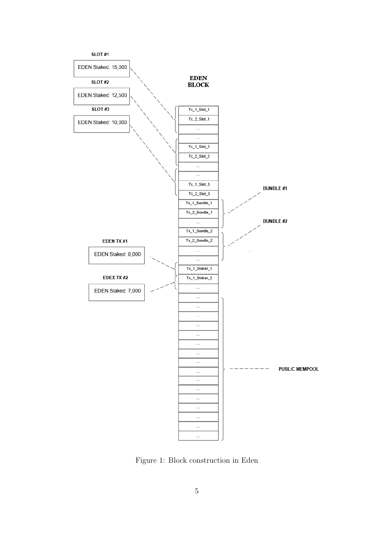

Figure 1: Block construction in Eden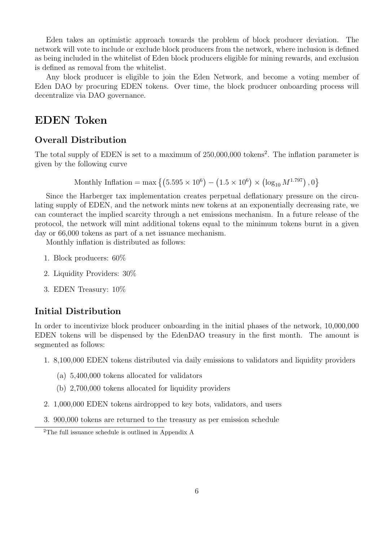Eden takes an optimistic approach towards the problem of block producer deviation. The network will vote to include or exclude block producers from the network, where inclusion is defined as being included in the whitelist of Eden block producers eligible for mining rewards, and exclusion is defined as removal from the whitelist.

Any block producer is eligible to join the Eden Network, and become a voting member of Eden DAO by procuring EDEN tokens. Over time, the block producer onboarding process will decentralize via DAO governance.

## EDEN Token

## Overall Distribution

The total supply of EDEN is set to a maximum of 250,000,000 tokens<sup>2</sup>. The inflation parameter is given by the following curve

Monthly Inflation = max 
$$
\{(5.595 \times 10^6) - (1.5 \times 10^6) \times (\log_{10} M^{1.797}), 0\}
$$

Since the Harberger tax implementation creates perpetual deflationary pressure on the circulating supply of EDEN, and the network mints new tokens at an exponentially decreasing rate, we can counteract the implied scarcity through a net emissions mechanism. In a future release of the protocol, the network will mint additional tokens equal to the minimum tokens burnt in a given day or 66,000 tokens as part of a net issuance mechanism.

Monthly inflation is distributed as follows:

- 1. Block producers: 60%
- 2. Liquidity Providers: 30%
- 3. EDEN Treasury: 10%

## Initial Distribution

In order to incentivize block producer onboarding in the initial phases of the network, 10,000,000 EDEN tokens will be dispensed by the EdenDAO treasury in the first month. The amount is segmented as follows:

- 1. 8,100,000 EDEN tokens distributed via daily emissions to validators and liquidity providers
	- (a) 5,400,000 tokens allocated for validators
	- (b) 2,700,000 tokens allocated for liquidity providers
- 2. 1,000,000 EDEN tokens airdropped to key bots, validators, and users
- 3. 900,000 tokens are returned to the treasury as per emission schedule

<sup>2</sup>The full issuance schedule is outlined in Appendix A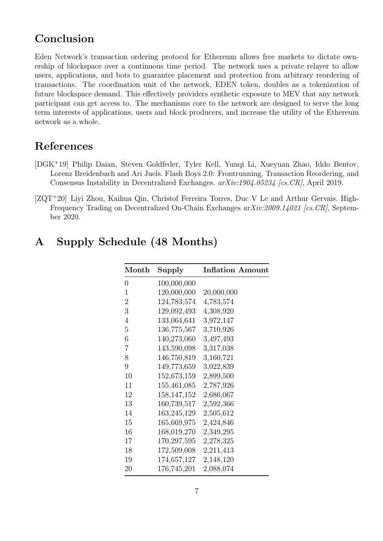## Conclusion

Eden Network's transaction ordering protocol for Ethereum allows free markets to dictate ownership of blockspace over a continuous time period. The network uses a private relayer to allow users, applications, and bots to guarantee placement and protection from arbitrary reordering of transactions. The coordination unit of the network, EDEN token, doubles as a tokenization of future blockspace demand. This effectively providers synthetic exposure to MEV that any network participant can get access to. The mechanisms core to the network are designed to serve the long term interests of applications, users and block producers, and increase the utility of the Ethereum network as a whole.

## References

- [DGK<sup>+</sup>19] Philip Daian, Steven Goldfeder, Tyler Kell, Yunqi Li, Xueyuan Zhao, Iddo Bentov, Lorenz Breidenbach and Ari Juels. Flash Boys 2.0: Frontrunning, Transaction Reordering, and Consensus Instability in Decentralized Exchanges. arXiv:1904.05234 [cs.CR], April 2019.
- [ZQT<sup>+</sup>20] Liyi Zhou, Kaihua Qin, Christof Ferreira Torres, Duc V Le and Arthur Gervais. High-Frequency Trading on Decentralized On-Chain Exchanges  $arXiv:2009.14021$  [cs. CR], September 2020.

# A Supply Schedule (48 Months)

| Month          | Supply        | <b>Inflation Amount</b> |
|----------------|---------------|-------------------------|
| 0              | 100,000,000   |                         |
| $\mathbf{1}$   | 120,000,000   | 20,000,000              |
| $\overline{2}$ | 124,783,574   | 4,783,574               |
| 3              | 129,092,493   | 4,308,920               |
| 4              | 133,064,641   | 3,972,147               |
| $\overline{5}$ | 136,775,567   | 3,710,926               |
| 6              | 140,273,060   | 3,497,493               |
| $\overline{7}$ | 143,590,098   | 3,317,038               |
| 8              | 146,750,819   | 3,160,721               |
| 9              | 149,773,659   | 3,022,839               |
| 10             | 152,673,159   | 2,899,500               |
| 11             | 155,461,085   | 2,787,926               |
| 12             | 158, 147, 152 | 2,686,067               |
| 13             | 160,739,517   | 2,592,366               |
| 14             | 163,245,129   | 2,505,612               |
| 15             | 165,669,975   | 2,424,846               |
| 16             | 168,019,270   | 2,349,295               |
| 17             | 170,297,595   | 2,278,325               |
| 18             | 172,509,008   | 2,211,413               |
| 19             | 174,657,127   | 2,148,120               |
| 20             | 176,745,201   | 2,088,074               |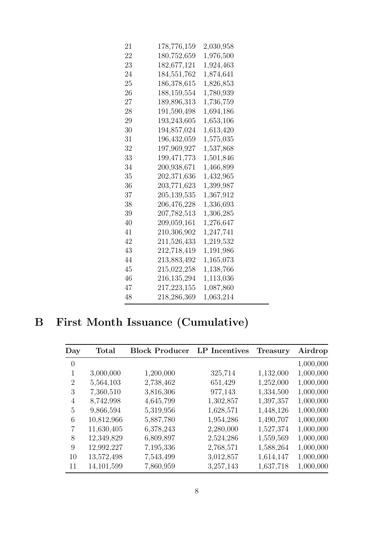| 21 | 178,776,159   | 2,030,958 |
|----|---------------|-----------|
| 22 | 180,752,659   | 1,976,500 |
| 23 | 182,677,121   | 1,924,463 |
| 24 | 184,551,762   | 1,874,641 |
| 25 | 186,378,615   | 1,826,853 |
| 26 | 188,159,554   | 1,780,939 |
| 27 | 189,896,313   | 1,736,759 |
| 28 | 191,590,498   | 1,694,186 |
| 29 | 193,243,605   | 1,653,106 |
| 30 | 194,857,024   | 1,613,420 |
| 31 | 196,432,059   | 1,575,035 |
| 32 | 197,969,927   | 1,537,868 |
| 33 | 199, 471, 773 | 1,501,846 |
| 34 | 200,938,671   | 1,466,899 |
| 35 | 202,371,636   | 1,432,965 |
| 36 | 203,771,623   | 1,399,987 |
| 37 | 205,139,535   | 1,367,912 |
| 38 | 206,476,228   | 1,336,693 |
| 39 | 207,782,513   | 1,306,285 |
| 40 | 209,059,161   | 1,276,647 |
| 41 | 210,306,902   | 1,247,741 |
| 42 | 211,526,433   | 1,219,532 |
| 43 | 212,718,419   | 1,191,986 |
| 44 | 213,883,492   | 1,165,073 |
| 45 | 215,022,258   | 1,138,766 |
| 46 | 216,135,294   | 1,113,036 |
| 47 | 217,223,155   | 1,087,860 |
| 48 | 218,286,369   | 1,063,214 |

# B First Month Issuance (Cumulative)

| Day          | <b>Total</b> | <b>Block Producer</b> LP Incentives |           | <b>Treasury</b> | Airdrop   |
|--------------|--------------|-------------------------------------|-----------|-----------------|-----------|
| $\theta$     |              |                                     |           |                 | 1,000,000 |
| $\mathbf{1}$ | 3,000,000    | 1,200,000                           | 325,714   | 1,132,000       | 1,000,000 |
| 2            | 5,564,103    | 2,738,462                           | 651,429   | 1,252,000       | 1,000,000 |
| 3            | 7,360,510    | 3,816,306                           | 977,143   | 1,334,500       | 1,000,000 |
| 4            | 8,742,998    | 4,645,799                           | 1,302,857 | 1,397,357       | 1,000,000 |
| 5            | 9,866,594    | 5,319,956                           | 1,628,571 | 1,448,126       | 1,000,000 |
| 6            | 10,812,966   | 5,887,780                           | 1,954,286 | 1,490,707       | 1,000,000 |
| 7            | 11,630,405   | 6,378,243                           | 2,280,000 | 1,527,374       | 1,000,000 |
| 8            | 12,349,829   | 6,809,897                           | 2,524,286 | 1,559,569       | 1,000,000 |
| 9            | 12,992,227   | 7,195,336                           | 2,768,571 | 1,588,264       | 1,000,000 |
| 10           | 13,572,498   | 7,543,499                           | 3,012,857 | 1,614,147       | 1,000,000 |
| 11           | 14,101,599   | 7,860,959                           | 3,257,143 | 1,637,718       | 1,000,000 |